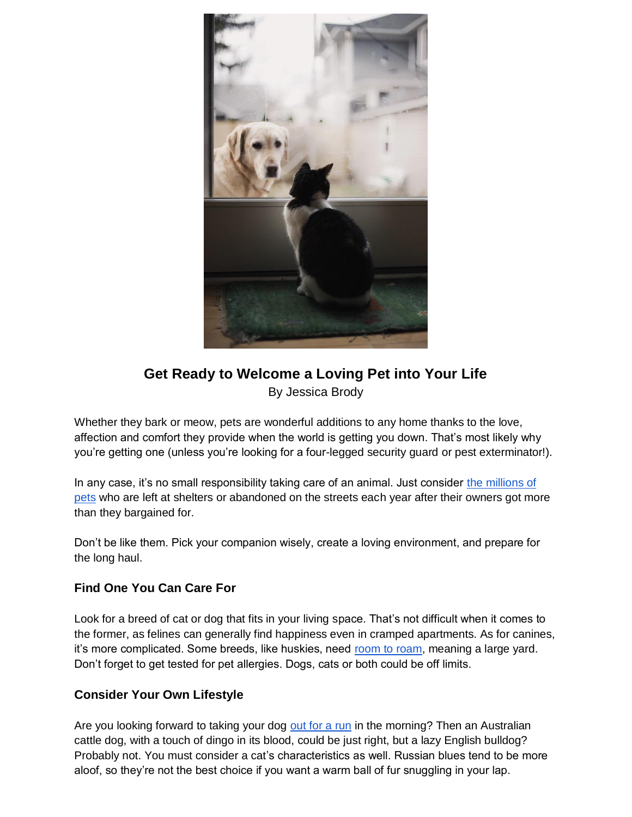

# **Get Ready to Welcome a Loving Pet into Your Life** By Jessica Brody

Whether they bark or meow, pets are wonderful additions to any home thanks to the love, affection and comfort they provide when the world is getting you down. That's most likely why you're getting one (unless you're looking for a four-legged security guard or pest exterminator!).

In any case, it's no small responsibility taking care of an animal. Just consider [the millions of](https://kittencoalition.org/news-events/statistics/)  [pets](https://kittencoalition.org/news-events/statistics/) who are left at shelters or abandoned on the streets each year after their owners got more than they bargained for.

Don't be like them. Pick your companion wisely, create a loving environment, and prepare for the long haul.

### **Find One You Can Care For**

Look for a breed of cat or dog that fits in your living space. That's not difficult when it comes to the former, as felines can generally find happiness even in cramped apartments. As for canines, it's more complicated. Some breeds, like huskies, need [room to roam,](https://iheartdogs.com/10-popular-dog-breeds-that-need-room-to-run/) meaning a large yard. Don't forget to get tested for pet allergies. Dogs, cats or both could be off limits.

### **Consider Your Own Lifestyle**

Are you looking forward to taking your dog [out for a run](https://www.active.com/outdoors/articles/10-best-dog-breeds-for-outdoor-junkies/slide-10) in the morning? Then an Australian cattle dog, with a touch of dingo in its blood, could be just right, but a lazy English bulldog? Probably not. You must consider a cat's characteristics as well. Russian blues tend to be more aloof, so they're not the best choice if you want a warm ball of fur snuggling in your lap.